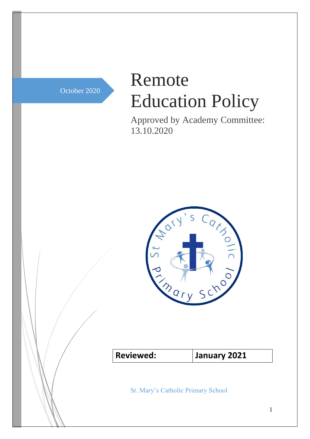October 2020

# Remote Education Policy

Approved by Academy Committee: 13.10.2020



**Reviewed: January 2021**

St. Mary's Catholic Primary School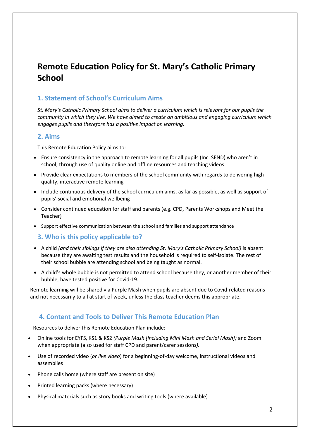## **Remote Education Policy for St. Mary's Catholic Primary School**

#### **1. Statement of School's Curriculum Aims**

*St. Mary's Catholic Primary School aims to deliver a curriculum which is relevant for our pupils the community in which they live. We have aimed to create an ambitious and engaging curriculum which engages pupils and therefore has a positive impact on learning.*

#### **2. Aims**

This Remote Education Policy aims to:

- Ensure consistency in the approach to remote learning for all pupils (Inc. SEND) who aren't in school, through use of quality online and offline resources and teaching videos
- Provide clear expectations to members of the school community with regards to delivering high quality, interactive remote learning
- Include continuous delivery of the school curriculum aims, as far as possible, as well as support of pupils' social and emotional wellbeing
- Consider continued education for staff and parents (e.g. CPD, Parents Workshops and Meet the Teacher)
- Support effective communication between the school and families and support attendance

#### **3. Who is this policy applicable to?**

- A child *(and their siblings if they are also attending St. Mary's Catholic Primary School)* is absent because they are awaiting test results and the household is required to self-isolate. The rest of their school bubble are attending school and being taught as normal.
- A child's whole bubble is not permitted to attend school because they, or another member of their bubble, have tested positive for Covid-19.

Remote learning will be shared via Purple Mash when pupils are absent due to Covid-related reasons and not necessarily to all at start of week, unless the class teacher deems this appropriate.

#### **4. Content and Tools to Deliver This Remote Education Plan**

Resources to deliver this Remote Education Plan include:

- Online tools for EYFS, KS1 & KS2 *(Purple Mash [including Mini Mash and Serial Mash])* and Zoom when appropriate (also used for staff CPD and parent/carer sessions*).*
- Use of recorded video (*or live video*) for a beginning-of-day welcome, instructional videos and assemblies
- Phone calls home (where staff are present on site)
- Printed learning packs (where necessary)
- Physical materials such as story books and writing tools (where available)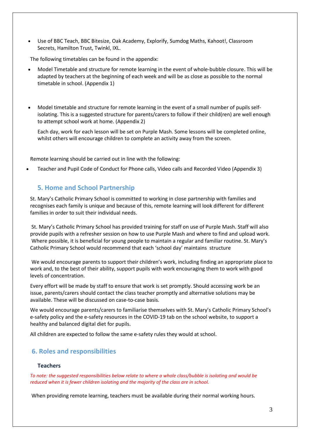Use of BBC Teach, BBC Bitesize, Oak Academy, Explorify, Sumdog Maths, Kahoot!, Classroom Secrets, Hamilton Trust, Twinkl, IXL.

The following timetables can be found in the appendix:

- Model Timetable and structure for remote learning in the event of whole-bubble closure. This will be adapted by teachers at the beginning of each week and will be as close as possible to the normal timetable in school. (Appendix 1)
- Model timetable and structure for remote learning in the event of a small number of pupils selfisolating. This is a suggested structure for parents/carers to follow if their child(ren) are well enough to attempt school work at home. (Appendix 2)

Each day, work for each lesson will be set on Purple Mash. Some lessons will be completed online, whilst others will encourage children to complete an activity away from the screen.

Remote learning should be carried out in line with the following:

Teacher and Pupil Code of Conduct for Phone calls, Video calls and Recorded Video (Appendix 3)

#### **5. Home and School Partnership**

St. Mary's Catholic Primary School is committed to working in close partnership with families and recognises each family is unique and because of this, remote learning will look different for different families in order to suit their individual needs.

St. Mary's Catholic Primary School has provided training for staff on use of Purple Mash. Staff will also provide pupils with a refresher session on how to use Purple Mash and where to find and upload work. Where possible, it is beneficial for young people to maintain a regular and familiar routine. St. Mary's Catholic Primary School would recommend that each 'school day' maintains structure

We would encourage parents to support their children's work, including finding an appropriate place to work and, to the best of their ability, support pupils with work encouraging them to work with good levels of concentration.

Every effort will be made by staff to ensure that work is set promptly. Should accessing work be an issue, parents/carers should contact the class teacher promptly and alternative solutions may be available. These will be discussed on case-to-case basis.

We would encourage parents/carers to familiarise themselves with St. Mary's Catholic Primary School's e-safety policy and the e-safety resources in the COVID-19 tab on the school website, to support a healthy and balanced digital diet for pupils.

All children are expected to follow the same e-safety rules they would at school.

#### **6. Roles and responsibilities**

#### **Teachers**

To note: the suggested responsibilities below relate to where a whole class/bubble is isolating and would be *reduced when it is fewer children isolating and the majority of the class are in school.*

When providing remote learning, teachers must be available during their normal working hours.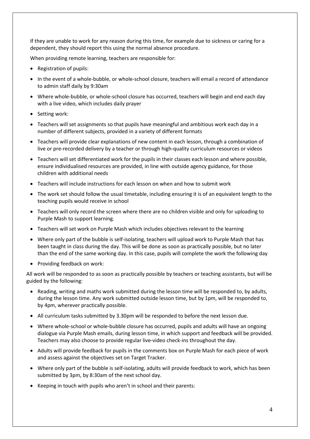If they are unable to work for any reason during this time, for example due to sickness or caring for a dependent, they should report this using the normal absence procedure.

When providing remote learning, teachers are responsible for:

- Registration of pupils:
- In the event of a whole-bubble, or whole-school closure, teachers will email a record of attendance to admin staff daily by 9:30am
- Where whole-bubble, or whole-school closure has occurred, teachers will begin and end each day with a live video, which includes daily prayer
- Setting work:
- Teachers will set assignments so that pupils have meaningful and ambitious work each day in a number of different subjects, provided in a variety of different formats
- Teachers will provide clear explanations of new content in each lesson, through a combination of live or pre-recorded delivery by a teacher or through high-quality curriculum resources or videos
- Teachers will set differentiated work for the pupils in their classes each lesson and where possible, ensure individualised resources are provided, in line with outside agency guidance, for those children with additional needs
- Teachers will include instructions for each lesson on when and how to submit work
- The work set should follow the usual timetable, including ensuring it is of an equivalent length to the teaching pupils would receive in school
- Teachers will only record the screen where there are no children visible and only for uploading to Purple Mash to support learning.
- Teachers will set work on Purple Mash which includes objectives relevant to the learning
- Where only part of the bubble is self-isolating, teachers will upload work to Purple Mash that has been taught in class during the day. This will be done as soon as practically possible, but no later than the end of the same working day. In this case, pupils will complete the work the following day
- Providing feedback on work:

All work will be responded to as soon as practically possible by teachers or teaching assistants, but will be guided by the following:

- Reading, writing and maths work submitted during the lesson time will be responded to, by adults, during the lesson time. Any work submitted outside lesson time, but by 1pm, will be responded to, by 4pm, wherever practically possible.
- All curriculum tasks submitted by 3.30pm will be responded to before the next lesson due.
- Where whole-school or whole-bubble closure has occurred, pupils and adults will have an ongoing dialogue via Purple Mash emails, during lesson time, in which support and feedback will be provided. Teachers may also choose to provide regular live-video check-ins throughout the day.
- Adults will provide feedback for pupils in the comments box on Purple Mash for each piece of work and assess against the objectives set on Target Tracker.
- Where only part of the bubble is self-isolating, adults will provide feedback to work, which has been submitted by 3pm, by 8:30am of the next school day.
- Keeping in touch with pupils who aren't in school and their parents: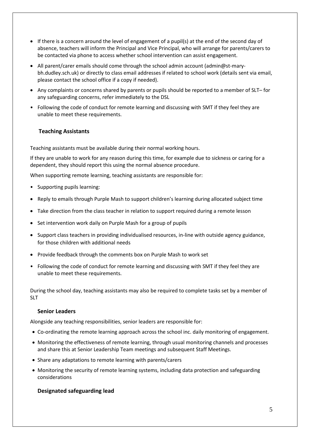- If there is a concern around the level of engagement of a pupil(s) at the end of the second day of absence, teachers will inform the Principal and Vice Principal, who will arrange for parents/carers to be contacted via phone to access whether school intervention can assist engagement.
- All parent/carer emails should come through the school admin account (admin@st-marybh.dudley.sch.uk) or directly to class email addresses if related to school work (details sent via email, please contact the school office if a copy if needed).
- Any complaints or concerns shared by parents or pupils should be reported to a member of SLT– for any safeguarding concerns, refer immediately to the DSL
- Following the code of conduct for remote learning and discussing with SMT if they feel they are unable to meet these requirements.

#### **Teaching Assistants**

Teaching assistants must be available during their normal working hours.

If they are unable to work for any reason during this time, for example due to sickness or caring for a dependent, they should report this using the normal absence procedure.

When supporting remote learning, teaching assistants are responsible for:

- Supporting pupils learning:
- Reply to emails through Purple Mash to support children's learning during allocated subject time
- Take direction from the class teacher in relation to support required during a remote lesson
- Set intervention work daily on Purple Mash for a group of pupils
- Support class teachers in providing individualised resources, in-line with outside agency guidance, for those children with additional needs
- Provide feedback through the comments box on Purple Mash to work set
- Following the code of conduct for remote learning and discussing with SMT if they feel they are unable to meet these requirements.

During the school day, teaching assistants may also be required to complete tasks set by a member of SLT

#### **Senior Leaders**

Alongside any teaching responsibilities, senior leaders are responsible for:

- Co-ordinating the remote learning approach across the school inc. daily monitoring of engagement.
- Monitoring the effectiveness of remote learning, through usual monitoring channels and processes and share this at Senior Leadership Team meetings and subsequent Staff Meetings.
- Share any adaptations to remote learning with parents/carers
- Monitoring the security of remote learning systems, including data protection and safeguarding considerations

#### **Designated safeguarding lead**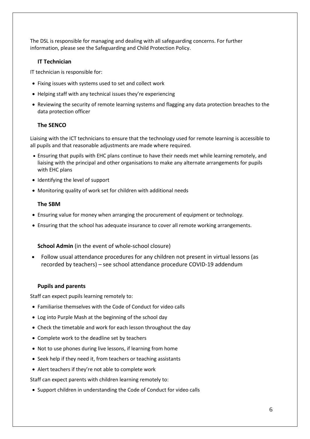The DSL is responsible for managing and dealing with all safeguarding concerns. For further information, please see the Safeguarding and Child Protection Policy.

#### **IT Technician**

IT technician is responsible for:

- Fixing issues with systems used to set and collect work
- Helping staff with any technical issues they're experiencing
- Reviewing the security of remote learning systems and flagging any data protection breaches to the data protection officer

#### **The SENCO**

Liaising with the ICT technicians to ensure that the technology used for remote learning is accessible to all pupils and that reasonable adjustments are made where required.

- Ensuring that pupils with EHC plans continue to have their needs met while learning remotely, and liaising with the principal and other organisations to make any alternate arrangements for pupils with EHC plans
- Identifying the level of support
- Monitoring quality of work set for children with additional needs

#### **The SBM**

- Ensuring value for money when arranging the procurement of equipment or technology.
- Ensuring that the school has adequate insurance to cover all remote working arrangements.

#### **School Admin** (in the event of whole-school closure)

 Follow usual attendance procedures for any children not present in virtual lessons (as recorded by teachers) – see school attendance procedure COVID-19 addendum

#### **Pupils and parents**

Staff can expect pupils learning remotely to:

- Familiarise themselves with the Code of Conduct for video calls
- Log into Purple Mash at the beginning of the school day
- Check the timetable and work for each lesson throughout the day
- Complete work to the deadline set by teachers
- Not to use phones during live lessons, if learning from home
- Seek help if they need it, from teachers or teaching assistants
- Alert teachers if they're not able to complete work

Staff can expect parents with children learning remotely to:

Support children in understanding the Code of Conduct for video calls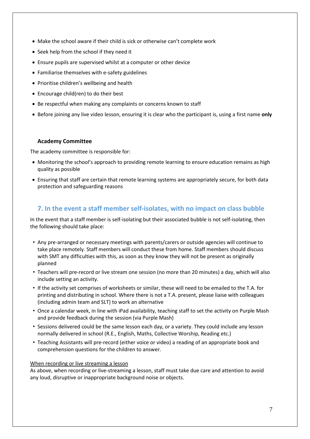- Make the school aware if their child is sick or otherwise can't complete work
- Seek help from the school if they need it
- Ensure pupils are supervised whilst at a computer or other device
- Familiarise themselves with e-safety guidelines
- Prioritise children's wellbeing and health
- Encourage child(ren) to do their best
- Be respectful when making any complaints or concerns known to staff
- Before joining any live video lesson, ensuring it is clear who the participant is, using a first name **only**

#### **Academy Committee**

The academy committee is responsible for:

- Monitoring the school's approach to providing remote learning to ensure education remains as high quality as possible
- Ensuring that staff are certain that remote learning systems are appropriately secure, for both data protection and safeguarding reasons

#### **7. In the event a staff member self-isolates, with no impact on class bubble**

In the event that a staff member is self-isolating but their associated bubble is not self-isolating, then the following should take place:

- Any pre-arranged or necessary meetings with parents/carers or outside agencies will continue to take place remotely. Staff members will conduct these from home. Staff members should discuss with SMT any difficulties with this, as soon as they know they will not be present as originally planned
- Teachers will pre-record or live stream one session (no more than 20 minutes) a day, which will also include setting an activity.
- If the activity set comprises of worksheets or similar, these will need to be emailed to the T.A. for printing and distributing in school. Where there is not a T.A. present, please liaise with colleagues (including admin team and SLT) to work an alternative
- Once a calendar week, in line with iPad availability, teaching staff to set the activity on Purple Mash and provide feedback during the session (via Purple Mash)
- Sessions delivered could be the same lesson each day, or a variety. They could include any lesson normally delivered in school (R.E., English, Maths, Collective Worship, Reading etc.)
- Teaching Assistants will pre-record (either voice or video) a reading of an appropriate book and comprehension questions for the children to answer.

#### When recording or live streaming a lesson

As above, when recording or live-streaming a lesson, staff must take due care and attention to avoid any loud, disruptive or inappropriate background noise or objects.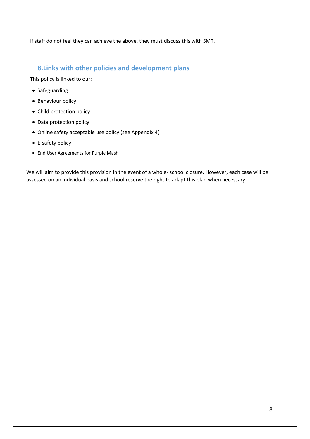If staff do not feel they can achieve the above, they must discuss this with SMT.

### **8.Links with other policies and development plans**

This policy is linked to our:

- Safeguarding
- Behaviour policy
- Child protection policy
- Data protection policy
- Online safety acceptable use policy (see Appendix 4)
- E-safety policy
- End User Agreements for Purple Mash

We will aim to provide this provision in the event of a whole- school closure. However, each case will be assessed on an individual basis and school reserve the right to adapt this plan when necessary.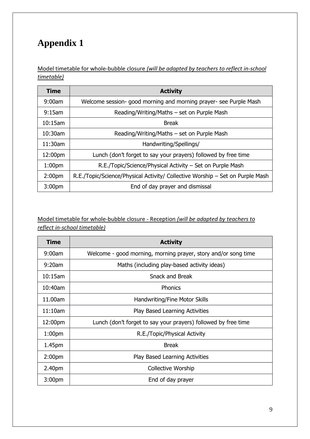Model timetable for whole-bubble closure *(will be adapted by teachers to reflect in-school timetable)*

| Time               | <b>Activity</b>                                                               |
|--------------------|-------------------------------------------------------------------------------|
| 9:00am             | Welcome session- good morning and morning prayer- see Purple Mash             |
| 9:15am             | Reading/Writing/Maths – set on Purple Mash                                    |
| $10:15$ am         | <b>Break</b>                                                                  |
| $10:30$ am         | Reading/Writing/Maths – set on Purple Mash                                    |
| $11:30$ am         | Handwriting/Spellings/                                                        |
| 12:00pm            | Lunch (don't forget to say your prayers) followed by free time                |
| 1:00 <sub>pm</sub> | R.E./Topic/Science/Physical Activity – Set on Purple Mash                     |
| 2:00 <sub>pm</sub> | R.E./Topic/Science/Physical Activity/ Collective Worship – Set on Purple Mash |
| 3:00 <sub>pm</sub> | End of day prayer and dismissal                                               |

### Model timetable for whole-bubble closure - Reception *(will be adapted by teachers to reflect in-school timetable)*

| <b>Time</b>        | <b>Activity</b>                                                |
|--------------------|----------------------------------------------------------------|
| 9:00am             | Welcome - good morning, morning prayer, story and/or song time |
| 9:20am             | Maths (including play-based activity ideas)                    |
| $10:15$ am         | <b>Snack and Break</b>                                         |
| 10:40am            | <b>Phonics</b>                                                 |
| 11.00am            | Handwriting/Fine Motor Skills                                  |
| 11:10am            | <b>Play Based Learning Activities</b>                          |
| 12:00pm            | Lunch (don't forget to say your prayers) followed by free time |
| 1:00 <sub>pm</sub> | R.E./Topic/Physical Activity                                   |
| 1.45pm             | <b>Break</b>                                                   |
| 2:00 <sub>pm</sub> | <b>Play Based Learning Activities</b>                          |
| 2.40pm             | Collective Worship                                             |
| 3:00 <sub>pm</sub> | End of day prayer                                              |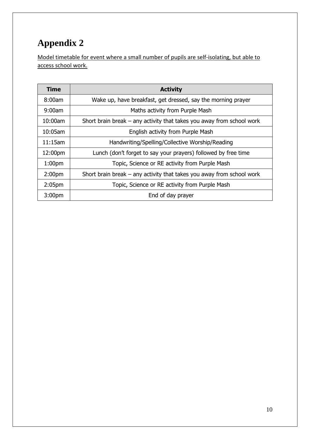Model timetable for event where a small number of pupils are self-isolating, but able to access school work.

| Time               | <b>Activity</b>                                                         |
|--------------------|-------------------------------------------------------------------------|
| 8:00am             | Wake up, have breakfast, get dressed, say the morning prayer            |
| 9:00am             | Maths activity from Purple Mash                                         |
| 10:00am            | Short brain break $-$ any activity that takes you away from school work |
| 10:05am            | English activity from Purple Mash                                       |
| $11:15$ am         | Handwriting/Spelling/Collective Worship/Reading                         |
| 12:00pm            | Lunch (don't forget to say your prayers) followed by free time          |
| 1:00 <sub>pm</sub> | Topic, Science or RE activity from Purple Mash                          |
| 2:00 <sub>pm</sub> | Short brain break $-$ any activity that takes you away from school work |
| 2:05 <sub>pm</sub> | Topic, Science or RE activity from Purple Mash                          |
| 3:00 <sub>pm</sub> | End of day prayer                                                       |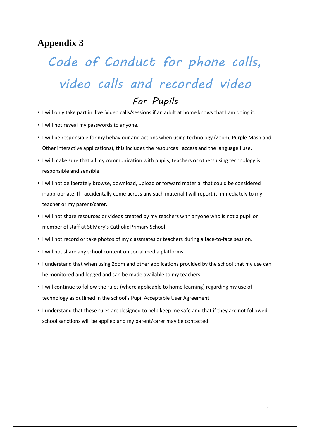## *Code of Conduct for phone calls, video calls and recorded video For Pupils*

- I will only take part in 'live 'video calls/sessions if an adult at home knows that I am doing it.
- I will not reveal my passwords to anyone.
- I will be responsible for my behaviour and actions when using technology (Zoom, Purple Mash and Other interactive applications), this includes the resources I access and the language I use.
- I will make sure that all my communication with pupils, teachers or others using technology is responsible and sensible.
- I will not deliberately browse, download, upload or forward material that could be considered inappropriate. If I accidentally come across any such material I will report it immediately to my teacher or my parent/carer.
- I will not share resources or videos created by my teachers with anyone who is not a pupil or member of staff at St Mary's Catholic Primary School
- I will not record or take photos of my classmates or teachers during a face-to-face session.
- I will not share any school content on social media platforms
- I understand that when using Zoom and other applications provided by the school that my use can be monitored and logged and can be made available to my teachers.
- I will continue to follow the rules (where applicable to home learning) regarding my use of technology as outlined in the school's Pupil Acceptable User Agreement
- I understand that these rules are designed to help keep me safe and that if they are not followed, school sanctions will be applied and my parent/carer may be contacted.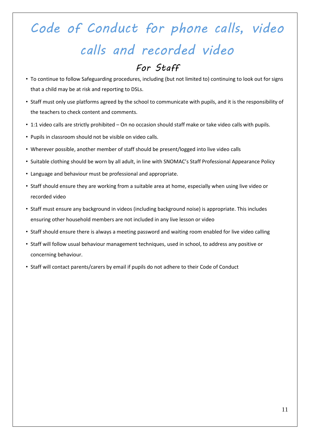## *Code of Conduct for phone calls, video calls and recorded video For Staff*

- To continue to follow Safeguarding procedures, including (but not limited to) continuing to look out for signs that a child may be at risk and reporting to DSLs.
- Staff must only use platforms agreed by the school to communicate with pupils, and it is the responsibility of the teachers to check content and comments.
- 1:1 video calls are strictly prohibited On no occasion should staff make or take video calls with pupils.
- Pupils in classroom should not be visible on video calls.
- Wherever possible, another member of staff should be present/logged into live video calls
- Suitable clothing should be worn by all adult, in line with SNOMAC's Staff Professional Appearance Policy
- Language and behaviour must be professional and appropriate.
- Staff should ensure they are working from a suitable area at home, especially when using live video or recorded video
- Staff must ensure any background in videos (including background noise) is appropriate. This includes ensuring other household members are not included in any live lesson or video
- Staff should ensure there is always a meeting password and waiting room enabled for live video calling
- Staff will follow usual behaviour management techniques, used in school, to address any positive or concerning behaviour.
- Staff will contact parents/carers by email if pupils do not adhere to their Code of Conduct